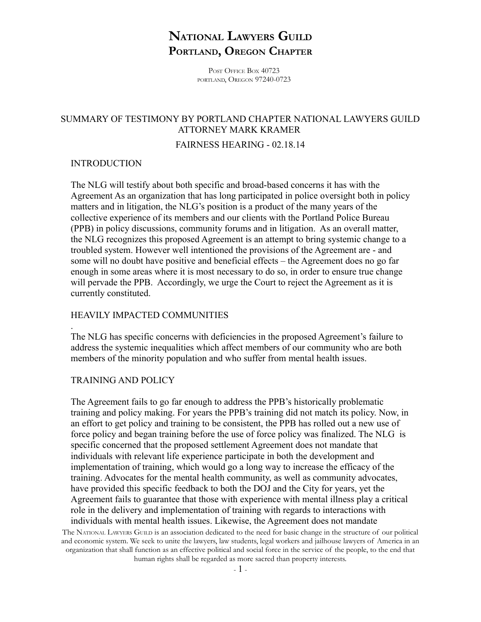# **NATIONAL LAWYERS GUILD PORTLAND, OREGON CHAPTER**

POST OFFICE BOX 40723 PORTLAND, OREGON 97240-0723

## SUMMARY OF TESTIMONY BY PORTLAND CHAPTER NATIONAL LAWYERS GUILD ATTORNEY MARK KRAMER

#### FAIRNESS HEARING - 02.18.14

### INTRODUCTION

The NLG will testify about both specific and broad-based concerns it has with the Agreement As an organization that has long participated in police oversight both in policy matters and in litigation, the NLG's position is a product of the many years of the collective experience of its members and our clients with the Portland Police Bureau (PPB) in policy discussions, community forums and in litigation. As an overall matter, the NLG recognizes this proposed Agreement is an attempt to bring systemic change to a troubled system. However well intentioned the provisions of the Agreement are - and some will no doubt have positive and beneficial effects – the Agreement does no go far enough in some areas where it is most necessary to do so, in order to ensure true change will pervade the PPB. Accordingly, we urge the Court to reject the Agreement as it is currently constituted.

## HEAVILY IMPACTED COMMUNITIES

The NLG has specific concerns with deficiencies in the proposed Agreement's failure to address the systemic inequalities which affect members of our community who are both members of the minority population and who suffer from mental health issues.

### TRAINING AND POLICY

.

The Agreement fails to go far enough to address the PPB's historically problematic training and policy making. For years the PPB's training did not match its policy. Now, in an effort to get policy and training to be consistent, the PPB has rolled out a new use of force policy and began training before the use of force policy was finalized. The NLG is specific concerned that the proposed settlement Agreement does not mandate that individuals with relevant life experience participate in both the development and implementation of training, which would go a long way to increase the efficacy of the training. Advocates for the mental health community, as well as community advocates, have provided this specific feedback to both the DOJ and the City for years, yet the Agreement fails to guarantee that those with experience with mental illness play a critical role in the delivery and implementation of training with regards to interactions with individuals with mental health issues. Likewise, the Agreement does not mandate

The NATIONAL LAWYERS GUILD is an association dedicated to the need for basic change in the structure of our political and economic system. We seek to unite the lawyers, law students, legal workers and jailhouse lawyers of America in an organization that shall function as an effective political and social force in the service of the people, to the end that human rights shall be regarded as more sacred than property interests.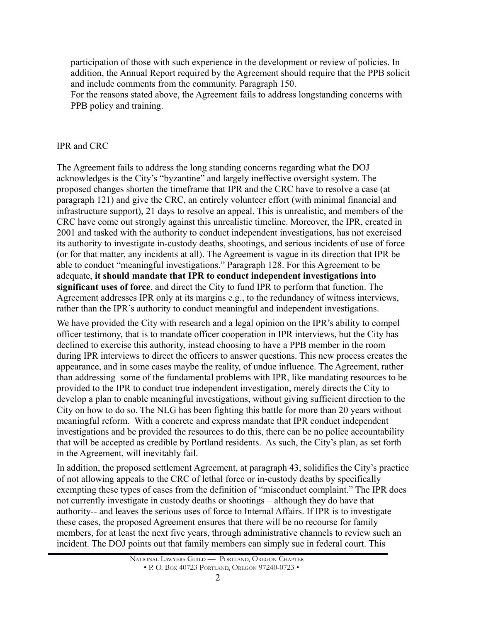participation of those with such experience in the development or review of policies. In addition, the Annual Report required by the Agreement should require that the PPB solicit and include comments from the community. Paragraph 150.

For the reasons stated above, the Agreement fails to address longstanding concerns with PPB policy and training.

## IPR and CRC

The Agreement fails to address the long standing concerns regarding what the DOJ acknowledges is the City's "byzantine" and largely ineffective oversight system. The proposed changes shorten the timeframe that IPR and the CRC have to resolve a case (at paragraph 121) and give the CRC, an entirely volunteer effort (with minimal financial and infrastructure support), 21 days to resolve an appeal. This is unrealistic, and members of the CRC have come out strongly against this unrealistic timeline. Moreover, the IPR, created in 2001 and tasked with the authority to conduct independent investigations, has not exercised its authority to investigate in-custody deaths, shootings, and serious incidents of use of force (or for that matter, any incidents at all). The Agreement is vague in its direction that IPR be able to conduct "meaningful investigations." Paragraph 128. For this Agreement to be adequate, **it should mandate that IPR to conduct independent investigations into significant uses of force**, and direct the City to fund IPR to perform that function. The Agreement addresses IPR only at its margins e.g., to the redundancy of witness interviews, rather than the IPR's authority to conduct meaningful and independent investigations.

We have provided the City with research and a legal opinion on the IPR's ability to compel officer testimony, that is to mandate officer cooperation in IPR interviews, but the City has declined to exercise this authority, instead choosing to have a PPB member in the room during IPR interviews to direct the officers to answer questions. This new process creates the appearance, and in some cases maybe the reality, of undue influence. The Agreement, rather than addressing some of the fundamental problems with IPR, like mandating resources to be provided to the IPR to conduct true independent investigation, merely directs the City to develop a plan to enable meaningful investigations, without giving sufficient direction to the City on how to do so. The NLG has been fighting this battle for more than 20 years without meaningful reform. With a concrete and express mandate that IPR conduct independent investigations and be provided the resources to do this, there can be no police accountability that will be accepted as credible by Portland residents. As such, the City's plan, as set forth in the Agreement, will inevitably fail.

In addition, the proposed settlement Agreement, at paragraph 43, solidifies the City's practice of not allowing appeals to the CRC of lethal force or in-custody deaths by specifically exempting these types of cases from the definition of "misconduct complaint." The IPR does not currently investigate in custody deaths or shootings – although they do have that authority-- and leaves the serious uses of force to Internal Affairs. If IPR is to investigate these cases, the proposed Agreement ensures that there will be no recourse for family members, for at least the next five years, through administrative channels to review such an incident. The DOJ points out that family members can simply sue in federal court. This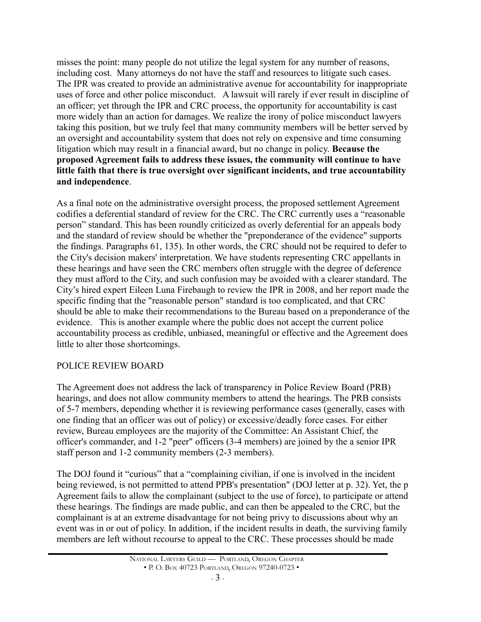misses the point: many people do not utilize the legal system for any number of reasons, including cost. Many attorneys do not have the staff and resources to litigate such cases. The IPR was created to provide an administrative avenue for accountability for inappropriate uses of force and other police misconduct. A lawsuit will rarely if ever result in discipline of an officer; yet through the IPR and CRC process, the opportunity for accountability is cast more widely than an action for damages. We realize the irony of police misconduct lawyers taking this position, but we truly feel that many community members will be better served by an oversight and accountability system that does not rely on expensive and time consuming litigation which may result in a financial award, but no change in policy. **Because the proposed Agreement fails to address these issues, the community will continue to have little faith that there is true oversight over significant incidents, and true accountability and independence**.

As a final note on the administrative oversight process, the proposed settlement Agreement codifies a deferential standard of review for the CRC. The CRC currently uses a "reasonable person" standard. This has been roundly criticized as overly deferential for an appeals body and the standard of review should be whether the "preponderance of the evidence" supports the findings. Paragraphs 61, 135). In other words, the CRC should not be required to defer to the City's decision makers' interpretation. We have students representing CRC appellants in these hearings and have seen the CRC members often struggle with the degree of deference they must afford to the City, and such confusion may be avoided with a clearer standard. The City's hired expert Eileen Luna Firebaugh to review the IPR in 2008, and her report made the specific finding that the "reasonable person" standard is too complicated, and that CRC should be able to make their recommendations to the Bureau based on a preponderance of the evidence. This is another example where the public does not accept the current police accountability process as credible, unbiased, meaningful or effective and the Agreement does little to alter those shortcomings.

### POLICE REVIEW BOARD

The Agreement does not address the lack of transparency in Police Review Board (PRB) hearings, and does not allow community members to attend the hearings. The PRB consists of 5-7 members, depending whether it is reviewing performance cases (generally, cases with one finding that an officer was out of policy) or excessive/deadly force cases. For either review, Bureau employees are the majority of the Committee: An Assistant Chief, the officer's commander, and 1-2 "peer" officers (3-4 members) are joined by the a senior IPR staff person and 1-2 community members (2-3 members).

The DOJ found it "curious" that a "complaining civilian, if one is involved in the incident being reviewed, is not permitted to attend PPB's presentation" (DOJ letter at p. 32). Yet, the p Agreement fails to allow the complainant (subject to the use of force), to participate or attend these hearings. The findings are made public, and can then be appealed to the CRC, but the complainant is at an extreme disadvantage for not being privy to discussions about why an event was in or out of policy. In addition, if the incident results in death, the surviving family members are left without recourse to appeal to the CRC. These processes should be made